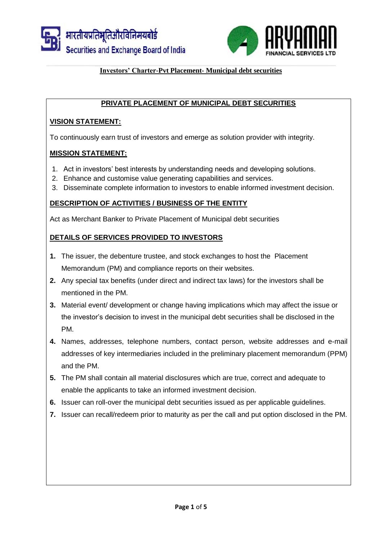



# **PRIVATE PLACEMENT OF MUNICIPAL DEBT SECURITIES**

## **VISION STATEMENT:**

To continuously earn trust of investors and emerge as solution provider with integrity.

### **MISSION STATEMENT:**

- 1. Act in investors' best interests by understanding needs and developing solutions.
- 2. Enhance and customise value generating capabilities and services.
- 3. Disseminate complete information to investors to enable informed investment decision.

### **DESCRIPTION OF ACTIVITIES / BUSINESS OF THE ENTITY**

Act as Merchant Banker to Private Placement of Municipal debt securities

# **DETAILS OF SERVICES PROVIDED TO INVESTORS**

- **1.** The issuer, the debenture trustee, and stock exchanges to host the Placement Memorandum (PM) and compliance reports on their websites.
- **2.** Any special tax benefits (under direct and indirect tax laws) for the investors shall be mentioned in the PM.
- **3.** Material event/ development or change having implications which may affect the issue or the investor's decision to invest in the municipal debt securities shall be disclosed in the PM.
- **4.** Names, addresses, telephone numbers, contact person, website addresses and e-mail addresses of key intermediaries included in the preliminary placement memorandum (PPM) and the PM.
- **5.** The PM shall contain all material disclosures which are true, correct and adequate to enable the applicants to take an informed investment decision.
- **6.** Issuer can roll-over the municipal debt securities issued as per applicable guidelines.
- **7.** Issuer can recall/redeem prior to maturity as per the call and put option disclosed in the PM.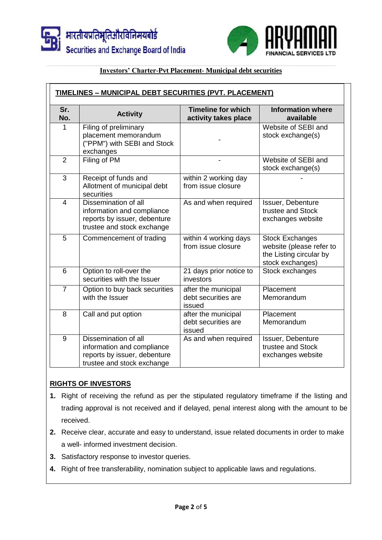



| Sr.<br>No.     | <b>Activity</b>                                                                                                  | <b>Timeline for which</b>                            | <b>Information where</b>                                                                          |
|----------------|------------------------------------------------------------------------------------------------------------------|------------------------------------------------------|---------------------------------------------------------------------------------------------------|
|                |                                                                                                                  | activity takes place                                 | available                                                                                         |
| 1              | Filing of preliminary<br>placement memorandum<br>("PPM") with SEBI and Stock<br>exchanges                        |                                                      | Website of SEBI and<br>stock exchange(s)                                                          |
| $\overline{2}$ | Filing of PM                                                                                                     |                                                      | Website of SEBI and<br>stock exchange(s)                                                          |
| 3              | Receipt of funds and<br>Allotment of municipal debt<br>securities                                                | within 2 working day<br>from issue closure           |                                                                                                   |
| $\overline{4}$ | Dissemination of all<br>information and compliance<br>reports by issuer, debenture<br>trustee and stock exchange | As and when required                                 | Issuer, Debenture<br>trustee and Stock<br>exchanges website                                       |
| 5              | Commencement of trading                                                                                          | within 4 working days<br>from issue closure          | <b>Stock Exchanges</b><br>website (please refer to<br>the Listing circular by<br>stock exchanges) |
| 6              | Option to roll-over the<br>securities with the Issuer                                                            | 21 days prior notice to<br>investors                 | Stock exchanges                                                                                   |
| $\overline{7}$ | Option to buy back securities<br>with the Issuer                                                                 | after the municipal<br>debt securities are<br>issued | Placement<br>Memorandum                                                                           |
| 8              | Call and put option                                                                                              | after the municipal<br>debt securities are<br>issued | Placement<br>Memorandum                                                                           |
| 9              | Dissemination of all<br>information and compliance<br>reports by issuer, debenture<br>trustee and stock exchange | As and when required                                 | Issuer, Debenture<br>trustee and Stock<br>exchanges website                                       |

# **RIGHTS OF INVESTORS**

- **1.** Right of receiving the refund as per the stipulated regulatory timeframe if the listing and trading approval is not received and if delayed, penal interest along with the amount to be received.
- **2.** Receive clear, accurate and easy to understand, issue related documents in order to make a well- informed investment decision.
- **3.** Satisfactory response to investor queries.
- **4.** Right of free transferability, nomination subject to applicable laws and regulations.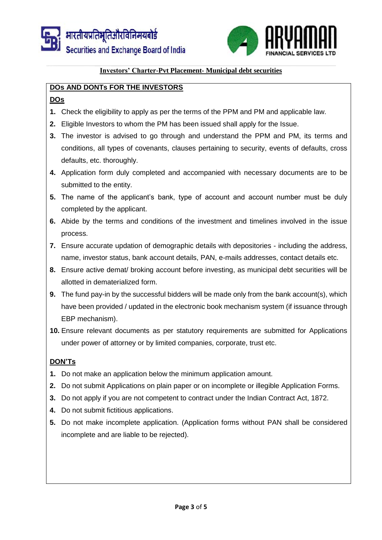

# **DOs AND DONTs FOR THE INVESTORS**

# **DOs**

- **1.** Check the eligibility to apply as per the terms of the PPM and PM and applicable law.
- **2.** Eligible Investors to whom the PM has been issued shall apply for the Issue.
- **3.** The investor is advised to go through and understand the PPM and PM, its terms and conditions, all types of covenants, clauses pertaining to security, events of defaults, cross defaults, etc. thoroughly.
- **4.** Application form duly completed and accompanied with necessary documents are to be submitted to the entity.
- **5.** The name of the applicant's bank, type of account and account number must be duly completed by the applicant.
- **6.** Abide by the terms and conditions of the investment and timelines involved in the issue process.
- **7.** Ensure accurate updation of demographic details with depositories including the address, name, investor status, bank account details, PAN, e-mails addresses, contact details etc.
- **8.** Ensure active demat/ broking account before investing, as municipal debt securities will be allotted in dematerialized form.
- **9.** The fund pay-in by the successful bidders will be made only from the bank account(s), which have been provided / updated in the electronic book mechanism system (if issuance through EBP mechanism).
- **10.** Ensure relevant documents as per statutory requirements are submitted for Applications under power of attorney or by limited companies, corporate, trust etc.

# **DON'Ts**

- **1.** Do not make an application below the minimum application amount.
- **2.** Do not submit Applications on plain paper or on incomplete or illegible Application Forms.
- **3.** Do not apply if you are not competent to contract under the Indian Contract Act, 1872.
- **4.** Do not submit fictitious applications.
- **5.** Do not make incomplete application. (Application forms without PAN shall be considered incomplete and are liable to be rejected).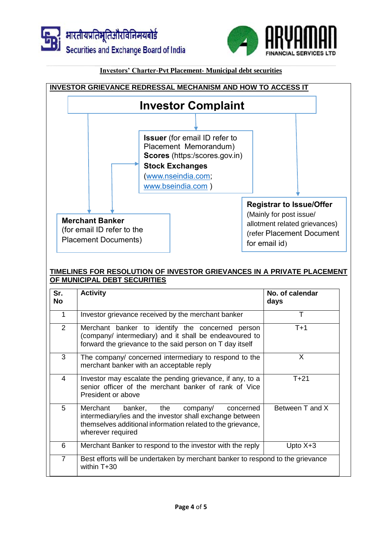





### **TIMELINES FOR RESOLUTION OF INVESTOR GRIEVANCES IN A PRIVATE PLACEMENT OF MUNICIPAL DEBT SECURITIES**

| Sr.<br><b>No</b> | <b>Activity</b>                                                                                                                                                                                  | No. of calendar<br>days |  |
|------------------|--------------------------------------------------------------------------------------------------------------------------------------------------------------------------------------------------|-------------------------|--|
| $\mathbf 1$      | Investor grievance received by the merchant banker                                                                                                                                               | Т                       |  |
| 2                | Merchant banker to identify the concerned person<br>(company/ intermediary) and it shall be endeavoured to<br>forward the grievance to the said person on T day itself                           | $T+1$                   |  |
| 3                | The company/ concerned intermediary to respond to the<br>merchant banker with an acceptable reply                                                                                                | X                       |  |
| 4                | Investor may escalate the pending grievance, if any, to a<br>senior officer of the merchant banker of rank of Vice<br>President or above                                                         | $T + 21$                |  |
| 5                | banker, the<br>Merchant<br>company/<br>concerned<br>intermediary/ies and the investor shall exchange between<br>themselves additional information related to the grievance,<br>wherever required | Between T and X         |  |
| 6                | Merchant Banker to respond to the investor with the reply                                                                                                                                        | Upto $X+3$              |  |
| $\overline{7}$   | Best efforts will be undertaken by merchant banker to respond to the grievance<br>within $T+30$                                                                                                  |                         |  |